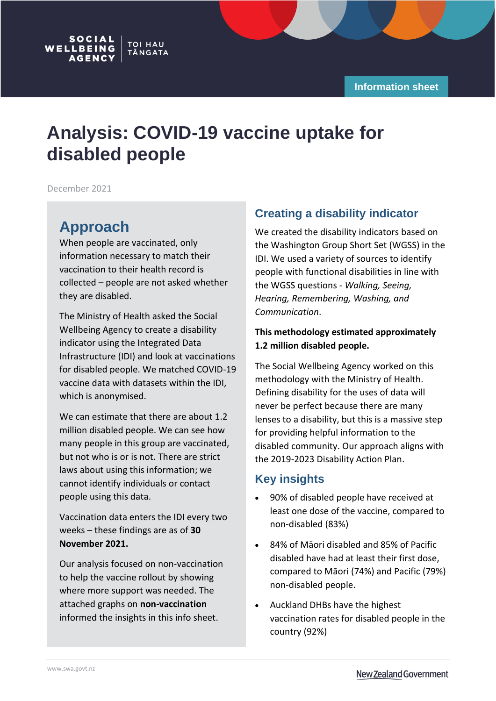# **Analysis: COVID-19 vaccine uptake for disabled people**

December 2021

## **Approach**

**SOCIAL** 

WELLBEING

When people are vaccinated, only information necessary to match their vaccination to their health record is collected – people are not asked whether they are disabled.

**TOI HAU** 

TĀNGATA

The Ministry of Health asked the Social Wellbeing Agency to create a disability indicator using the Integrated Data Infrastructure (IDI) and look at vaccinations for disabled people. We matched COVID-19 vaccine data with datasets within the IDI, which is anonymised.

We can estimate that there are about 1.2 million disabled people. We can see how many people in this group are vaccinated, but not who is or is not. There are strict laws about using this information; we cannot identify individuals or contact people using this data.

Vaccination data enters the IDI every two weeks – these findings are as of **30 November 2021.**

Our analysis focused on non-vaccination to help the vaccine rollout by showing where more support was needed. The attached graphs on **non-vaccination** informed the insights in this info sheet.

### **Creating a disability indicator**

We created the disability indicators based on the Washington Group Short Set (WGSS) in the IDI. We used a variety of sources to identify people with functional disabilities in line with the WGSS questions - *Walking, Seeing, Hearing, Remembering, Washing, and Communication*.

#### **This methodology estimated approximately 1.2 million disabled people.**

The Social Wellbeing Agency worked on this methodology with the Ministry of Health. Defining disability for the uses of data will never be perfect because there are many lenses to a disability, but this is a massive step for providing helpful information to the disabled community. Our approach aligns with the 2019-2023 Disability Action Plan.

### **Key insights**

- 90% of disabled people have received at least one dose of the vaccine, compared to non-disabled (83%)
- 84% of Māori disabled and 85% of Pacific disabled have had at least their first dose, compared to Māori (74%) and Pacific (79%) non-disabled people.
- Auckland DHBs have the highest vaccination rates for disabled people in the country (92%)